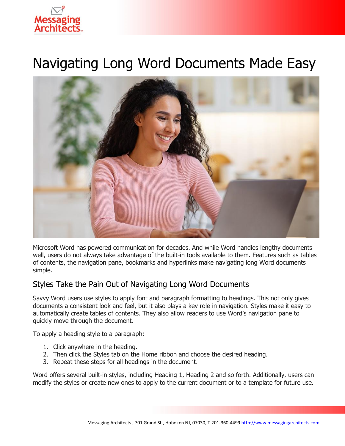

# Navigating Long Word Documents Made Easy



Microsoft Word has powered communication for decades. And while Word handles lengthy documents well, users do not always take advantage of the built-in tools available to them. Features such as tables of contents, the navigation pane, bookmarks and hyperlinks make navigating long Word documents simple.

## Styles Take the Pain Out of Navigating Long Word Documents

Savvy Word users use styles to apply font and paragraph formatting to headings. This not only gives documents a consistent look and feel, but it also plays a key role in navigation. Styles make it easy to automatically create tables of contents. They also allow readers to use Word's navigation pane to quickly move through the document.

To apply a heading style to a paragraph:

- 1. Click anywhere in the heading.
- 2. Then click the Styles tab on the Home ribbon and choose the desired heading.
- 3. Repeat these steps for all headings in the document.

Word offers several built-in styles, including Heading 1, Heading 2 and so forth. Additionally, users can modify the styles or create new ones to apply to the current document or to a template for future use.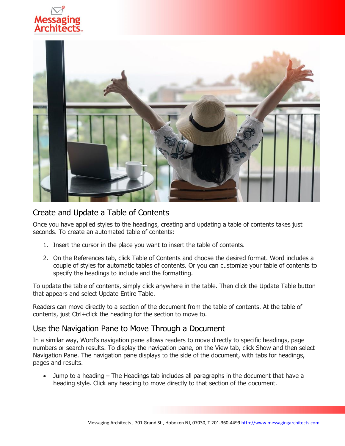



#### Create and Update a Table of Contents

Once you have applied styles to the headings, creating and updating a table of contents takes just seconds. To create an automated table of contents:

- 1. Insert the cursor in the place you want to insert the table of contents.
- 2. On the References tab, click Table of Contents and choose the desired format. Word includes a couple of styles for automatic tables of contents. Or you can customize your table of contents to specify the headings to include and the formatting.

To update the table of contents, simply click anywhere in the table. Then click the Update Table button that appears and select Update Entire Table.

Readers can move directly to a section of the document from the table of contents. At the table of contents, just Ctrl+click the heading for the section to move to.

#### Use the Navigation Pane to Move Through a Document

In a similar way, Word's navigation pane allows readers to move directly to specific headings, page numbers or search results. To display the navigation pane, on the View tab, click Show and then select Navigation Pane. The navigation pane displays to the side of the document, with tabs for headings, pages and results.

• Jump to a heading – The Headings tab includes all paragraphs in the document that have a heading style. Click any heading to move directly to that section of the document.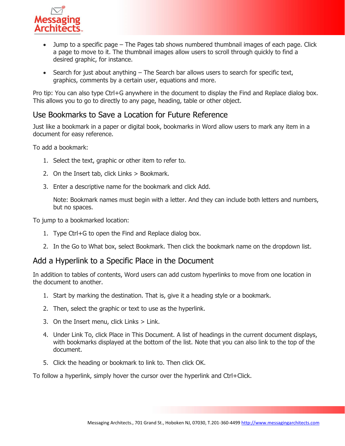

- Jump to a specific page The Pages tab shows numbered thumbnail images of each page. Click a page to move to it. The thumbnail images allow users to scroll through quickly to find a desired graphic, for instance.
- Search for just about anything The Search bar allows users to search for specific text, graphics, comments by a certain user, equations and more.

Pro tip: You can also type Ctrl+G anywhere in the document to display the Find and Replace dialog box. This allows you to go to directly to any page, heading, table or other object.

## Use Bookmarks to Save a Location for Future Reference

Just like a bookmark in a paper or digital book, bookmarks in Word allow users to mark any item in a document for easy reference.

To add a bookmark:

- 1. Select the text, graphic or other item to refer to.
- 2. On the Insert tab, click Links > Bookmark.
- 3. Enter a descriptive name for the bookmark and click Add.

Note: Bookmark names must begin with a letter. And they can include both letters and numbers, but no spaces.

To jump to a bookmarked location:

- 1. Type Ctrl+G to open the Find and Replace dialog box.
- 2. In the Go to What box, select Bookmark. Then click the bookmark name on the dropdown list.

#### Add a Hyperlink to a Specific Place in the Document

In addition to tables of contents, Word users can add custom hyperlinks to move from one location in the document to another.

- 1. Start by marking the destination. That is, give it a heading style or a bookmark.
- 2. Then, select the graphic or text to use as the hyperlink.
- 3. On the Insert menu, click Links > Link.
- 4. Under Link To, click Place in This Document. A list of headings in the current document displays, with bookmarks displayed at the bottom of the list. Note that you can also link to the top of the document.
- 5. Click the heading or bookmark to link to. Then click OK.

To follow a hyperlink, simply hover the cursor over the hyperlink and Ctrl+Click.